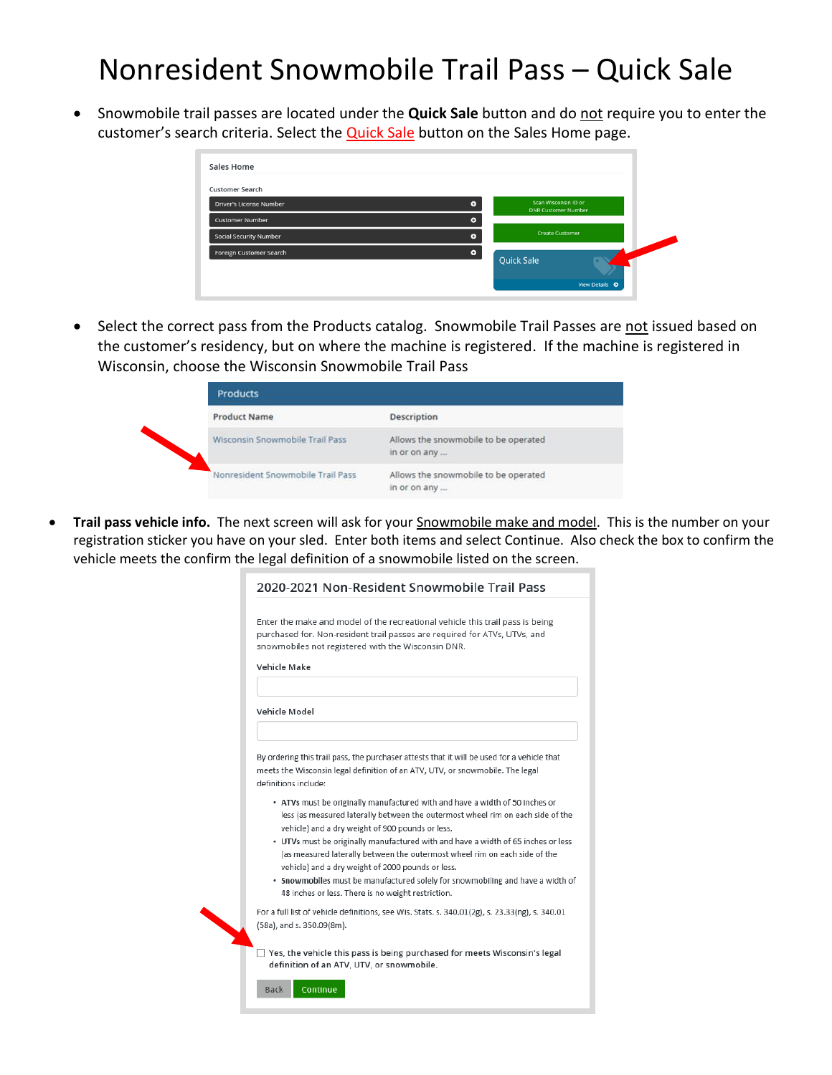## Nonresident Snowmobile Trail Pass – Quick Sale

• Snowmobile trail passes are located under the **Quick Sale** button and do not require you to enter the customer's search criteria. Select the **Quick Sale** button on the Sales Home page.

| Scan Wisconsin ID or<br>$\bullet$<br><b>DNR Customer Number</b> |
|-----------------------------------------------------------------|
| $\bullet$                                                       |
| <b>Create Customer</b><br>۰                                     |
| $\bullet$                                                       |
| <b>Quick Sale</b>                                               |
|                                                                 |

• Select the correct pass from the Products catalog. Snowmobile Trail Passes are not issued based on the customer's residency, but on where the machine is registered. If the machine is registered in Wisconsin, choose the Wisconsin Snowmobile Trail Pass

| <b>Products</b>                   |                                                      |
|-----------------------------------|------------------------------------------------------|
| <b>Product Name</b>               | <b>Description</b>                                   |
| Wisconsin Snowmobile Trail Pass   | Allows the snowmobile to be operated<br>in or on any |
| Nonresident Snowmobile Trail Pass | Allows the snowmobile to be operated<br>in or on any |

• **Trail pass vehicle info.** The next screen will ask for your Snowmobile make and model. This is the number on your registration sticker you have on your sled. Enter both items and select Continue. Also check the box to confirm the vehicle meets the confirm the legal definition of a snowmobile listed on the screen.

| 2020-2021 Non-Resident Snowmobile Trail Pass                                                                                                                                                                                                                                                                                                                                                                                                                                                                                                                                        |
|-------------------------------------------------------------------------------------------------------------------------------------------------------------------------------------------------------------------------------------------------------------------------------------------------------------------------------------------------------------------------------------------------------------------------------------------------------------------------------------------------------------------------------------------------------------------------------------|
| Enter the make and model of the recreational vehicle this trail pass is being<br>purchased for. Non-resident trail passes are required for ATVs, UTVs, and<br>snowmobiles not registered with the Wisconsin DNR.<br>Vehicle Make                                                                                                                                                                                                                                                                                                                                                    |
| Vehicle Model                                                                                                                                                                                                                                                                                                                                                                                                                                                                                                                                                                       |
| By ordering this trail pass, the purchaser attests that it will be used for a vehicle that<br>meets the Wisconsin legal definition of an ATV, UTV, or snowmobile. The legal<br>definitions include:                                                                                                                                                                                                                                                                                                                                                                                 |
| • ATVs must be originally manufactured with and have a width of 50 inches or<br>less (as measured laterally between the outermost wheel rim on each side of the<br>vehicle) and a dry weight of 900 pounds or less.<br>. UTVs must be originally manufactured with and have a width of 65 inches or less<br>(as measured laterally between the outermost wheel rim on each side of the<br>vehicle) and a dry weight of 2000 pounds or less.<br>. Snowmobiles must be manufactured solely for snowmobiling and have a width of<br>48 inches or less. There is no weight restriction. |
| For a full list of vehicle definitions, see Wis. Stats. s. 340.01(2g), s. 23.33(ng), s. 340.01<br>(58a), and s. 350.09(8m).                                                                                                                                                                                                                                                                                                                                                                                                                                                         |
| $\Box$ Yes, the vehicle this pass is being purchased for meets Wisconsin's legal<br>definition of an ATV, UTV, or snowmobile.                                                                                                                                                                                                                                                                                                                                                                                                                                                       |
| Continue<br><b>Back</b>                                                                                                                                                                                                                                                                                                                                                                                                                                                                                                                                                             |